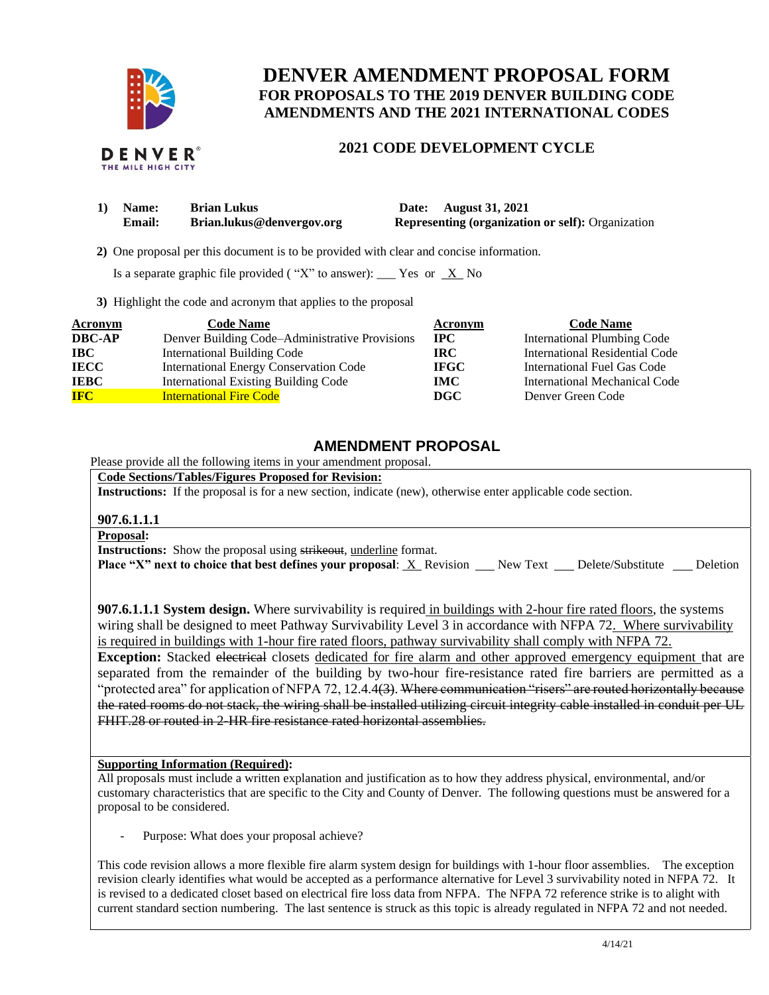

# **DENVER AMENDMENT PROPOSAL FORM FOR PROPOSALS TO THE 2019 DENVER BUILDING CODE AMENDMENTS AND THE 2021 INTERNATIONAL CODES**

# **2021 CODE DEVELOPMENT CYCLE**

| 1) Name:      | <b>Brian Lukus</b>        | Date: August 31, 2021                                    |
|---------------|---------------------------|----------------------------------------------------------|
| <b>Email:</b> | Brian.lukus@denvergov.org | <b>Representing (organization or self): Organization</b> |

 **2)** One proposal per this document is to be provided with clear and concise information.

Is a separate graphic file provided ("X" to answer): \_\_\_ Yes or  $X$  No

**3)** Highlight the code and acronym that applies to the proposal

| Acronym       | <b>Code Name</b>                               | Acronym      | <b>Code Name</b>                   |
|---------------|------------------------------------------------|--------------|------------------------------------|
| <b>DBC-AP</b> | Denver Building Code–Administrative Provisions | $_{\rm IPC}$ | <b>International Plumbing Code</b> |
| IBC           | <b>International Building Code</b>             | IRC.         | International Residential Code     |
| <b>IECC</b>   | International Energy Conservation Code         | <b>IFGC</b>  | International Fuel Gas Code        |
| <b>IEBC</b>   | <b>International Existing Building Code</b>    | <b>IMC</b>   | International Mechanical Code      |
| <b>IFC</b>    | <b>International Fire Code</b>                 | <b>DGC</b>   | Denver Green Code                  |

# **AMENDMENT PROPOSAL**

Please provide all the following items in your amendment proposal.

**Code Sections/Tables/Figures Proposed for Revision:**

**Instructions:** If the proposal is for a new section, indicate (new), otherwise enter applicable code section.

### **907.6.1.1.1**

### **Proposal:**

**Instructions:** Show the proposal using strikeout, underline format. **Place "X" next to choice that best defines your proposal: X Revision New Text Delete/Substitute Deletion** 

**907.6.1.1.1 System design.** Where survivability is required in buildings with 2-hour fire rated floors, the systems wiring shall be designed to meet Pathway Survivability Level 3 in accordance with NFPA 72. Where survivability is required in buildings with 1-hour fire rated floors, pathway survivability shall comply with NFPA 72.

**Exception:** Stacked electrical closets dedicated for fire alarm and other approved emergency equipment that are separated from the remainder of the building by two-hour fire-resistance rated fire barriers are permitted as a "protected area" for application of NFPA 72, 12.4.4(3). Where communication "risers" are routed horizontally because the rated rooms do not stack, the wiring shall be installed utilizing circuit integrity cable installed in conduit per UL FHIT.28 or routed in 2-HR fire resistance rated horizontal assemblies.

### **Supporting Information (Required):**

All proposals must include a written explanation and justification as to how they address physical, environmental, and/or customary characteristics that are specific to the City and County of Denver. The following questions must be answered for a proposal to be considered.

Purpose: What does your proposal achieve?

This code revision allows a more flexible fire alarm system design for buildings with 1-hour floor assemblies. The exception revision clearly identifies what would be accepted as a performance alternative for Level 3 survivability noted in NFPA 72. It is revised to a dedicated closet based on electrical fire loss data from NFPA. The NFPA 72 reference strike is to alight with current standard section numbering. The last sentence is struck as this topic is already regulated in NFPA 72 and not needed.